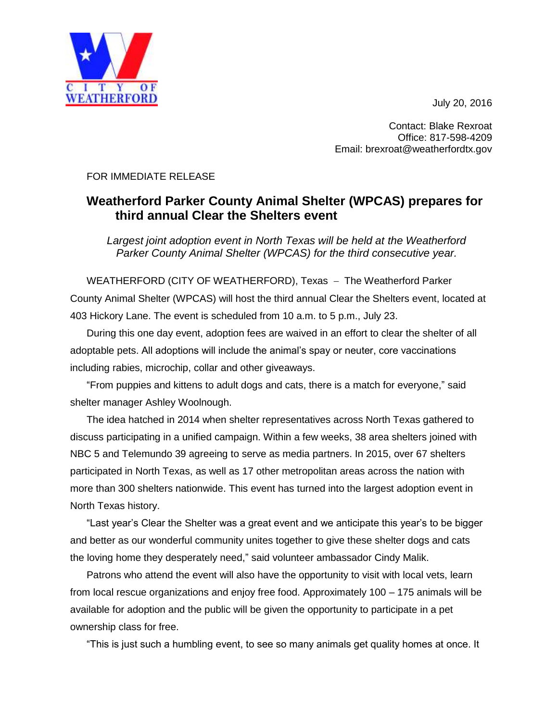July 20, 2016



Contact: Blake Rexroat Office: 817-598-4209 Email: brexroat@weatherfordtx.gov

FOR IMMEDIATE RELEASE

## **Weatherford Parker County Animal Shelter (WPCAS) prepares for third annual Clear the Shelters event**

*Largest joint adoption event in North Texas will be held at the Weatherford Parker County Animal Shelter (WPCAS) for the third consecutive year.*

WEATHERFORD (CITY OF WEATHERFORD), Texas - The Weatherford Parker County Animal Shelter (WPCAS) will host the third annual Clear the Shelters event, located at 403 Hickory Lane. The event is scheduled from 10 a.m. to 5 p.m., July 23.

During this one day event, adoption fees are waived in an effort to clear the shelter of all adoptable pets. All adoptions will include the animal's spay or neuter, core vaccinations including rabies, microchip, collar and other giveaways.

"From puppies and kittens to adult dogs and cats, there is a match for everyone," said shelter manager Ashley Woolnough.

The idea hatched in 2014 when shelter representatives across North Texas gathered to discuss participating in a unified campaign. Within a few weeks, 38 area shelters joined with NBC 5 and Telemundo 39 agreeing to serve as media partners. In 2015, over 67 shelters participated in North Texas, as well as 17 other metropolitan areas across the nation with more than 300 shelters nationwide. This event has turned into the largest adoption event in North Texas history.

"Last year's Clear the Shelter was a great event and we anticipate this year's to be bigger and better as our wonderful community unites together to give these shelter dogs and cats the loving home they desperately need," said volunteer ambassador Cindy Malik.

Patrons who attend the event will also have the opportunity to visit with local vets, learn from local rescue organizations and enjoy free food. Approximately 100 – 175 animals will be available for adoption and the public will be given the opportunity to participate in a pet ownership class for free.

"This is just such a humbling event, to see so many animals get quality homes at once. It